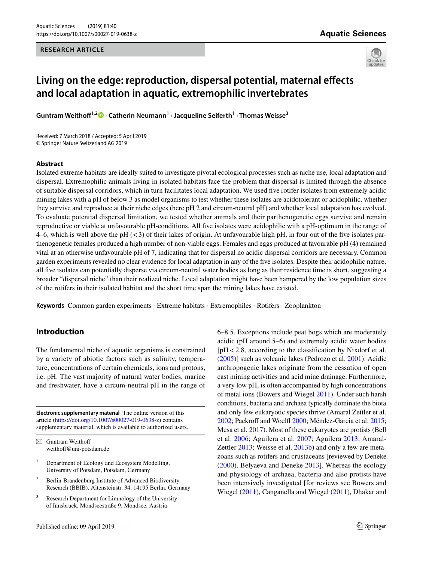#### **RESEARCH ARTICLE**



# **Living on the edge: reproduction, dispersal potential, maternal efects and local adaptation in aquatic, extremophilic invertebrates**

**Guntram Weithof1,2 · Catherin Neumann1 · Jacqueline Seiferth<sup>1</sup> · Thomas Weisse3**

Received: 7 March 2018 / Accepted: 5 April 2019 © Springer Nature Switzerland AG 2019

#### **Abstract**

Isolated extreme habitats are ideally suited to investigate pivotal ecological processes such as niche use, local adaptation and dispersal. Extremophilic animals living in isolated habitats face the problem that dispersal is limited through the absence of suitable dispersal corridors, which in turn facilitates local adaptation. We used fve rotifer isolates from extremely acidic mining lakes with a pH of below 3 as model organisms to test whether these isolates are acidotolerant or acidophilic, whether they survive and reproduce at their niche edges (here pH 2 and circum-neutral pH) and whether local adaptation has evolved. To evaluate potential dispersal limitation, we tested whether animals and their parthenogenetic eggs survive and remain reproductive or viable at unfavourable pH-conditions. All fve isolates were acidophilic with a pH-optimum in the range of 4–6, which is well above the pH  $( $3$ )$  of their lakes of origin. At unfavourable high pH, in four out of the five isolates parthenogenetic females produced a high number of non-viable eggs. Females and eggs produced at favourable pH (4) remained vital at an otherwise unfavourable pH of 7, indicating that for dispersal no acidic dispersal corridors are necessary. Common garden experiments revealed no clear evidence for local adaptation in any of the fve isolates. Despite their acidophilic nature, all fve isolates can potentially disperse via circum-neutral water bodies as long as their residence time is short, suggesting a broader "dispersal niche" than their realized niche. Local adaptation might have been hampered by the low population sizes of the rotifers in their isolated habitat and the short time span the mining lakes have existed.

**Keywords** Common garden experiments · Extreme habitats · Extremophiles · Rotifers · Zooplankton

# **Introduction**

The fundamental niche of aquatic organisms is constrained by a variety of abiotic factors such as salinity, temperature, concentrations of certain chemicals, ions and protons, i.e. pH. The vast majority of natural water bodies, marine and freshwater, have a circum-neutral pH in the range of

**Electronic supplementary material** The online version of this article [\(https://doi.org/10.1007/s00027-019-0638-z](https://doi.org/10.1007/s00027-019-0638-z)) contains supplementary material, which is available to authorized users.

 $\boxtimes$  Guntram Weithoff weithoff@uni-potsdam.de

- <sup>1</sup> Department of Ecology and Ecosystem Modelling, University of Potsdam, Potsdam, Germany
- <sup>2</sup> Berlin-Brandenburg Institute of Advanced Biodiversity Research (BBIB), Altensteinstr. 34, 14195 Berlin, Germany
- Research Department for Limnology of the University of Innsbruck, Mondseestraße 9, Mondsee, Austria

6–8.5. Exceptions include peat bogs which are moderately acidic (pH around 5–6) and extremely acidic water bodies [pH <2.8, according to the classifcation by Nixdorf et al. ([2005\)](#page-8-0)] such as volcanic lakes (Pedrozo et al. [2001](#page-8-1)). Acidic anthropogenic lakes originate from the cessation of open cast mining activities and acid mine drainage. Furthermore, a very low pH, is often accompanied by high concentrations of metal ions (Bowers and Wiegel [2011\)](#page-7-0). Under such harsh conditions, bacteria and archaea typically dominate the biota and only few eukaryotic species thrive (Amaral Zettler et al. [2002](#page-7-1); Packroff and Woelfl [2000](#page-8-2); Méndez-Garcia et al. [2015](#page-8-3); Mesa et al. [2017\)](#page-8-4). Most of these eukaryotes are protists (Bell et al. [2006](#page-7-2); Aguilera et al. [2007;](#page-7-3) Aguilera [2013](#page-7-4); Amaral-Zettler [2013;](#page-7-5) Weisse et al. [2013b](#page-8-5)) and only a few are metazoans such as rotifers and crustaceans [reviewed by Deneke ([2000\)](#page-7-6), Belyaeva and Deneke [2013\]](#page-7-7). Whereas the ecology and physiology of archaea, bacteria and also protists have been intensively investigated [for reviews see Bowers and Wiegel ([2011](#page-7-0)), Canganella and Wiegel ([2011](#page-7-8)), Dhakar and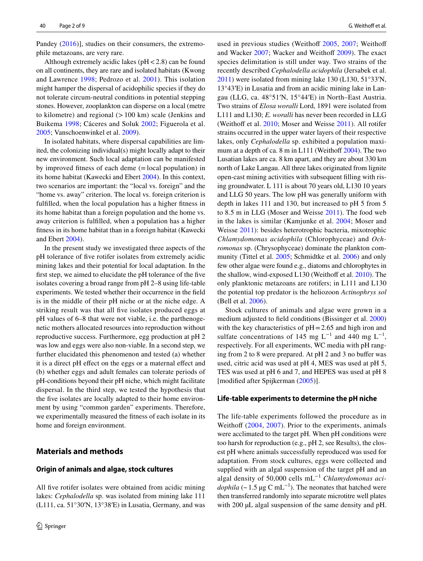Pandey [\(2016\)](#page-7-9)], studies on their consumers, the extremophile metazoans, are very rare.

Although extremely acidic lakes ( $pH < 2.8$ ) can be found on all continents, they are rare and isolated habitats (Kwong and Lawrence [1998;](#page-8-6) Pedrozo et al. [2001\)](#page-8-1). This isolation might hamper the dispersal of acidophilic species if they do not tolerate circum-neutral conditions in potential stepping stones. However, zooplankton can disperse on a local (metre to kilometre) and regional  $(>100 \text{ km})$  scale (Jenkins and Buikema [1998;](#page-8-7) Cáceres and Soluk [2002;](#page-7-10) Figuerola et al. [2005](#page-7-11); Vanschoenwinkel et al. [2009](#page-8-8)).

In isolated habitats, where dispersal capabilities are limited, the colonizing individual(s) might locally adapt to their new environment. Such local adaptation can be manifested by improved ftness of each deme (=local population) in its home habitat (Kawecki and Ebert [2004\)](#page-8-9). In this context, two scenarios are important: the "local vs. foreign" and the "home vs. away" criterion. The local vs. foreign criterion is fulflled, when the local population has a higher ftness in its home habitat than a foreign population and the home vs. away criterion is fulflled, when a population has a higher ftness in its home habitat than in a foreign habitat (Kawecki and Ebert [2004\)](#page-8-9).

In the present study we investigated three aspects of the pH tolerance of fve rotifer isolates from extremely acidic mining lakes and their potential for local adaptation. In the frst step, we aimed to elucidate the pH tolerance of the fve isolates covering a broad range from pH 2–8 using life-table experiments. We tested whether their occurrence in the feld is in the middle of their pH niche or at the niche edge. A striking result was that all fve isolates produced eggs at pH values of 6–8 that were not viable, i.e. the parthenogenetic mothers allocated resources into reproduction without reproductive success. Furthermore, egg production at pH 2 was low and eggs were also non-viable. In a second step, we further elucidated this phenomenon and tested (a) whether it is a direct pH effect on the eggs or a maternal effect and (b) whether eggs and adult females can tolerate periods of pH-conditions beyond their pH niche, which might facilitate dispersal. In the third step, we tested the hypothesis that the five isolates are locally adapted to their home environment by using "common garden" experiments. Therefore, we experimentally measured the ftness of each isolate in its home and foreign environment.

# **Materials and methods**

#### **Origin of animals and algae, stock cultures**

All five rotifer isolates were obtained from acidic mining lakes: *Cephalodella* sp. was isolated from mining lake 111  $(L111, ca. 51°30'N, 13°38'E)$  in Lusatia, Germany, and was

used in previous studies (Weithoff [2005](#page-8-10), [2007;](#page-8-11) Weithoff and Wacker [2007](#page-8-12); Wacker and Weithoff [2009](#page-8-13)). The exact species delimitation is still under way. Two strains of the recently described *Cephalodella acidophila* (Jersabek et al. [2011](#page-8-14)) were isolated from mining lake 130 (L130, 51°33ʹN, 13°43ʹE) in Lusatia and from an acidic mining lake in Langau (LLG, ca. 48°51ʹN, 15°44ʹE) in North–East Austria. Two strains of *Elosa woralli* Lord, 1891 were isolated from L111 and L130; *E. woralli* has never been recorded in LLG (Weithoff et al. [2010;](#page-8-15) Moser and Weisse [2011\)](#page-8-16). All rotifer strains occurred in the upper water layers of their respective lakes, only *Cephalodella* sp. exhibited a population maximum at a depth of ca.  $8 \text{ m in } L111$  (Weithoff  $2004$ ). The two Lusatian lakes are ca. 8 km apart, and they are about 330 km north of Lake Langau. All three lakes originated from lignite open-cast mining activities with subsequent flling with rising groundwater. L 111 is about 70 years old, L130 10 years and LLG 50 years. The low pH was generally uniform with depth in lakes 111 and 130, but increased to pH 5 from 5 to 8.5 m in LLG (Moser and Weisse [2011\)](#page-8-16). The food web in the lakes is similar (Kamjunke et al. [2004](#page-8-18); Moser and Weisse [2011](#page-8-16)): besides heterotrophic bacteria, mixotrophic *Chlamydomonas acidophila* (Chlorophyceae) and *Ochromonas* sp. (Chrysophyceae) dominate the plankton community (Tittel et al. [2005;](#page-8-19) Schmidtke et al. [2006\)](#page-8-20) and only few other algae were found e.g., diatoms and chlorophytes in the shallow, wind-exposed L130 (Weithoff et al. [2010](#page-8-15)). The only planktonic metazoans are rotifers; in L111 and L130 the potential top predator is the heliozoon *Actinophrys sol* (Bell et al. [2006\)](#page-7-2).

Stock cultures of animals and algae were grown in a medium adjusted to feld conditions (Bissinger et al. [2000\)](#page-7-12) with the key characteristics of  $pH = 2.65$  and high iron and sulfate concentrations of 145 mg L<sup>-1</sup> and 440 mg L<sup>-1</sup>, respectively. For all experiments, WC media with pH ranging from 2 to 8 were prepared. At pH 2 and 3 no bufer was used, citric acid was used at pH 4, MES was used at pH 5, TES was used at pH 6 and 7, and HEPES was used at pH 8 [modifed after Spijkerman [\(2005](#page-8-21))].

#### **Life‑table experiments to determine the pH niche**

The life-table experiments followed the procedure as in Weithoff ([2004](#page-8-17), [2007\)](#page-8-11). Prior to the experiments, animals were acclimated to the target pH. When pH conditions were too harsh for reproduction (e.g., pH 2, see Results), the closest pH where animals successfully reproduced was used for adaptation. From stock cultures, eggs were collected and supplied with an algal suspension of the target pH and an algal density of 50,000 cells mL−1 *Chlamydomonas acidophila* (~1.5 µg C mL<sup>-1</sup>). The neonates that hatched were then transferred randomly into separate microtitre well plates with 200 µL algal suspension of the same density and pH.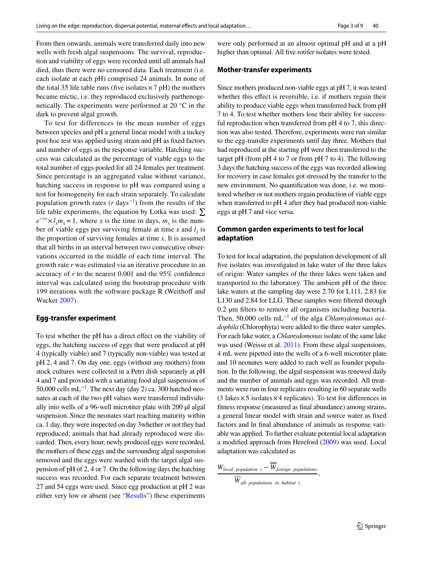From then onwards, animals were transferred daily into new wells with fresh algal suspensions. The survival, reproduction and viability of eggs were recorded until all animals had died, thus there were no censored data. Each treatment (i.e. each isolate at each pH) comprised 24 animals. In none of the total 35 life table runs (five isolates  $\times$  7 pH) the mothers became mictic, i.e. they reproduced exclusively parthenogenetically. The experiments were performed at 20 °C in the dark to prevent algal growth.

To test for differences in the mean number of eggs between species and pH a general linear model with a tuckey post hoc test was applied using strain and pH as fxed factors and number of eggs as the response variable. Hatching success was calculated as the percentage of viable eggs to the total number of eggs pooled for all 24 females per treatment. Since percentage is an aggregated value without variance, hatching success in response to pH was compared using a test for homogeneity for each strain separately. To calculate population growth rates ( $r$  days<sup>-1</sup>) from the results of the life table experiments, the equation by Lotka was used:  $\Sigma$  $e^{-rx} \times l_x m_x = 1$ , where *x* is the time in days,  $m_x$  is the number of viable eggs per surviving female at time  $x$  and  $l<sub>x</sub>$  is the proportion of surviving females at time *x*. It is assumed that all births in an interval between two consecutive observations occurred in the middle of each time interval. The growth rate *r* was estimated via an iterative procedure to an accuracy of *r* to the nearest 0.001 and the 95% confdence interval was calculated using the bootstrap procedure with 199 iterations with the software package R (Weithoff and Wacker [2007](#page-8-12)).

# **Egg‑transfer experiment**

To test whether the pH has a direct effect on the viability of eggs, the hatching success of eggs that were produced at pH 4 (typically viable) and 7 (typically non-viable) was tested at pH 2, 4 and 7. On day one, eggs (without any mothers) from stock cultures were collected in a Petri dish separately at pH 4 and 7 and provided with a satiating food algal suspension of 50,000 cells mL<sup>-1</sup>. The next day (day 2) ca. 300 hatched neonates at each of the two pH values were transferred individually into wells of a 96-well microtiter plate with 200 µl algal suspension. Since the neonates start reaching maturity within ca. 1 day, they were inspected on day 3whether or not they had reproduced; animals that had already reproduced were discarded. Then, every hour, newly produced eggs were recorded, the mothers of these eggs and the surrounding algal suspension removed and the eggs were washed with the target algal suspension of pH of 2, 4 or 7. On the following days the hatching success was recorded. For each separate treatment between 27 and 54 eggs were used. Since egg production at pH 2 was either very low or absent (see ["Results](#page-3-0)") these experiments

were only performed at an almost optimal pH and at a pH higher than optimal. All five rotifer isolates were tested.

## **Mother‑transfer experiments**

Since mothers produced non-viable eggs at pH 7, it was tested whether this effect is reversible, i.e. if mothers regain their ability to produce viable eggs when transferred back from pH 7 to 4. To test whether mothers lose their ability for successful reproduction when transferred from pH 4 to 7, this direction was also tested. Therefore, experiments were run similar to the egg-transfer experiments until day three. Mothers that had reproduced at the starting pH were then transferred to the target pH (from pH 4 to 7 or from pH 7 to 4). The following 3 days the hatching success of the eggs was recorded allowing for recovery in case females got stressed by the transfer to the new environment. No quantifcation was done, i.e. we monitored whether or not mothers regain production of viable eggs when transferred to pH 4 after they had produced non-viable eggs at pH 7 and vice versa.

# **Common garden experiments to test for local adaptation**

To test for local adaptation, the population development of all fve isolates was investigated in lake water of the three lakes of origin: Water samples of the three lakes were taken and transported to the laboratory. The ambient pH of the three lake waters at the sampling day were 2.70 for L111, 2.83 for L130 and 2.84 for LLG. These samples were fltered through 0.2 µm flters to remove all organisms including bacteria. Then, 50,000 cells mL−1 of the alga *Chlamydomonas acidophila* (Chlorophyta) were added to the three water samples. For each lake water, a *Chlamydomonas* isolate of the same lake was used (Weisse et al. [2011\)](#page-8-22). From these algal suspensions, 4 mL were pipetted into the wells of a 6-well microtiter plate and 10 neonates were added to each well as founder population. In the following, the algal suspension was renewed daily and the number of animals and eggs was recorded. All treatments were run in four replicates resulting in 60 separate wells (3 lakes $\times$ 5 isolates $\times$ 4 replicates). To test for differences in ftness response (measured as fnal abundance) among strains, a general linear model with strain and source water as fxed factors and ln fnal abundance of animals as response variable was applied. To further evaluate potential local adaptation a modifed approach from Hereford [\(2009](#page-7-13)) was used. Local adaptation was calculated as

,

$$
\frac{W_{local\ population\ i} - \overline{W}_{foreign\ populations}}{\overline{W}_{all\ populations\ in\ habitat\ i}}
$$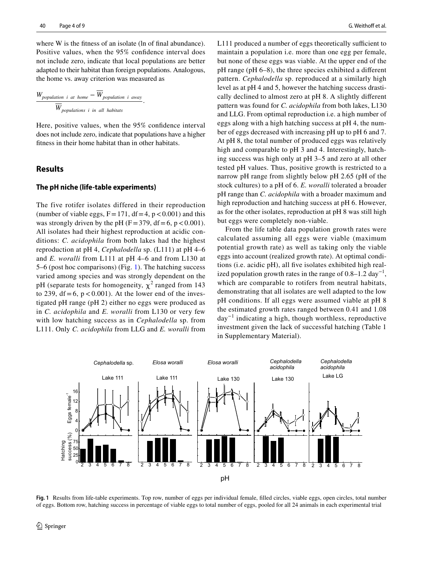where W is the fitness of an isolate (ln of final abundance). Positive values, when the 95% confdence interval does not include zero, indicate that local populations are better adapted to their habitat than foreign populations. Analogous, the home vs. away criterion was measured as

$$
\frac{W_{population\ i\ at\ home} - \overline{W}_{population\ i\ away}}{\overline{W}_{populations\ i\ in\ all\ habitats}}
$$

Here, positive values, when the 95% confdence interval does not include zero, indicate that populations have a higher ftness in their home habitat than in other habitats.

.

# <span id="page-3-0"></span>**Results**

#### **The pH niche (life‑table experiments)**

The five rotifer isolates differed in their reproduction (number of viable eggs,  $F = 171$ ,  $df = 4$ ,  $p < 0.001$ ) and this was strongly driven by the pH ( $F = 379$ , df = 6, p < 0.001). All isolates had their highest reproduction at acidic conditions: *C. acidophila* from both lakes had the highest reproduction at pH 4, *Cephalodella* sp. (L111) at pH 4–6 and *E. woralli* from L111 at pH 4–6 and from L130 at 5–6 (post hoc comparisons) (Fig. [1](#page-3-1)). The hatching success varied among species and was strongly dependent on the pH (separate tests for homogeneity,  $\chi^2$  ranged from 143 to 239,  $df = 6$ ,  $p < 0.001$ ). At the lower end of the investigated pH range (pH 2) either no eggs were produced as in *C. acidophila* and *E. woralli* from L130 or very few with low hatching success as in *Cephalodella* sp. from L111. Only *C. acidophila* from LLG and *E. woralli* from

L111 produced a number of eggs theoretically sufficient to maintain a population i.e. more than one egg per female, but none of these eggs was viable. At the upper end of the pH range (pH 6–8), the three species exhibited a diferent pattern. *Cephalodella* sp. reproduced at a similarly high level as at pH 4 and 5, however the hatching success drastically declined to almost zero at pH 8. A slightly diferent pattern was found for *C. acidophila* from both lakes, L130 and LLG. From optimal reproduction i.e. a high number of eggs along with a high hatching success at pH 4, the number of eggs decreased with increasing pH up to pH 6 and 7. At pH 8, the total number of produced eggs was relatively high and comparable to pH 3 and 4. Interestingly, hatching success was high only at pH 3–5 and zero at all other tested pH values. Thus, positive growth is restricted to a narrow pH range from slightly below pH 2.65 (pH of the stock cultures) to a pH of 6. *E. woralli* tolerated a broader pH range than *C. acidophila* with a broader maximum and high reproduction and hatching success at pH 6. However, as for the other isolates, reproduction at pH 8 was still high but eggs were completely non-viable.

From the life table data population growth rates were calculated assuming all eggs were viable (maximum potential growth rate) as well as taking only the viable eggs into account (realized growth rate). At optimal conditions (i.e. acidic pH), all fve isolates exhibited high realized population growth rates in the range of  $0.8-1.2 \text{ day}^{-1}$ , which are comparable to rotifers from neutral habitats, demonstrating that all isolates are well adapted to the low pH conditions. If all eggs were assumed viable at pH 8 the estimated growth rates ranged between 0.41 and 1.08 day−1 indicating a high, though worthless, reproductive investment given the lack of successful hatching (Table 1 in Supplementary Material).



<span id="page-3-1"></span>**Fig. 1** Results from life-table experiments. Top row, number of eggs per individual female, flled circles, viable eggs, open circles, total number of eggs. Bottom row, hatching success in percentage of viable eggs to total number of eggs, pooled for all 24 animals in each experimental trial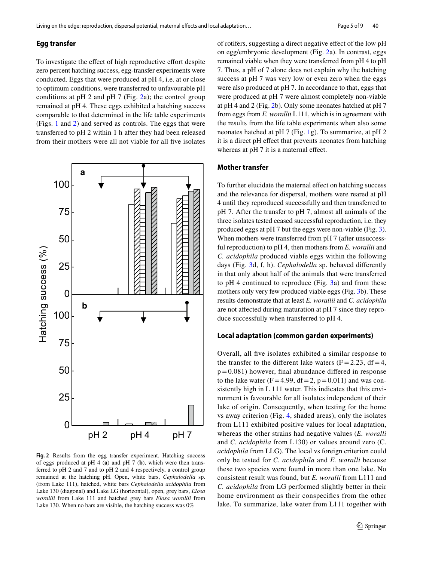#### **Egg transfer**

To investigate the effect of high reproductive effort despite zero percent hatching success, egg-transfer experiments were conducted. Eggs that were produced at pH 4, i.e. at or close to optimum conditions, were transferred to unfavourable pH conditions at  $pH$  [2](#page-4-0) and  $pH$  7 (Fig. 2a); the control group remained at pH 4. These eggs exhibited a hatching success comparable to that determined in the life table experiments (Figs. [1](#page-3-1) and [2](#page-4-0)) and served as controls. The eggs that were transferred to pH 2 within 1 h after they had been released from their mothers were all not viable for all fve isolates



<span id="page-4-0"></span>**Fig. 2** Results from the egg transfer experiment. Hatching success of eggs produced at pH 4 (**a**) and pH 7 (**b**), which were then transferred to pH 2 and 7 and to pH 2 and 4 respectively, a control group remained at the hatching pH. Open, white bars, *Cephalodella* sp. (from Lake 111), hatched, white bars *Cephalodella acidophila* from Lake 130 (diagonal) and Lake LG (horizontal), open, grey bars, *Elosa worallii* from Lake 111 and hatched grey bars *Elosa worallii* from Lake 130. When no bars are visible, the hatching success was 0%

of rotifers, suggesting a direct negative efect of the low pH on egg/embryonic development (Fig. [2](#page-4-0)a). In contrast, eggs remained viable when they were transferred from pH 4 to pH 7. Thus, a pH of 7 alone does not explain why the hatching success at pH 7 was very low or even zero when the eggs were also produced at pH 7. In accordance to that, eggs that were produced at pH 7 were almost completely non-viable at pH 4 and 2 (Fig. [2](#page-4-0)b). Only some neonates hatched at pH 7 from eggs from *E. worallii* L111, which is in agreement with the results from the life table experiments when also some neonates hatched at pH 7 (Fig. [1g](#page-3-1)). To summarize, at pH 2 it is a direct pH efect that prevents neonates from hatching whereas at pH 7 it is a maternal effect.

### **Mother transfer**

To further elucidate the maternal effect on hatching success and the relevance for dispersal, mothers were reared at pH 4 until they reproduced successfully and then transferred to pH 7. After the transfer to pH 7, almost all animals of the three isolates tested ceased successful reproduction, i.e. they produced eggs at pH 7 but the eggs were non-viable (Fig. [3](#page-5-0)). When mothers were transferred from pH 7 (after unsuccessful reproduction) to pH 4, then mothers from *E. worallii* and *C. acidophila* produced viable eggs within the following days (Fig. [3d](#page-5-0), f, h). *Cephalodella* sp. behaved diferently in that only about half of the animals that were transferred to pH 4 continued to reproduce (Fig. [3](#page-5-0)a) and from these mothers only very few produced viable eggs (Fig. [3b](#page-5-0)). These results demonstrate that at least *E. worallii* and *C. acidophila* are not affected during maturation at pH 7 since they reproduce successfully when transferred to pH 4.

## **Local adaptation (common garden experiments)**

Overall, all fve isolates exhibited a similar response to the transfer to the different lake waters  $(F = 2.23, df = 4,$  $p=0.081$ ) however, final abundance differed in response to the lake water  $(F=4.99, df=2, p=0.011)$  and was consistently high in L 111 water. This indicates that this environment is favourable for all isolates independent of their lake of origin. Consequently, when testing for the home vs away criterion (Fig. [4,](#page-6-0) shaded areas), only the isolates from L111 exhibited positive values for local adaptation, whereas the other strains had negative values (*E. woralli* and *C. acidophila* from L130) or values around zero (C. *acidophila* from LLG). The local vs foreign criterion could only be tested for *C. acidophila* and *E. woralli* because these two species were found in more than one lake. No consistent result was found, but *E. woralli* from L111 and *C. acidophila* from LG performed slightly better in their home environment as their conspecifcs from the other lake. To summarize, lake water from L111 together with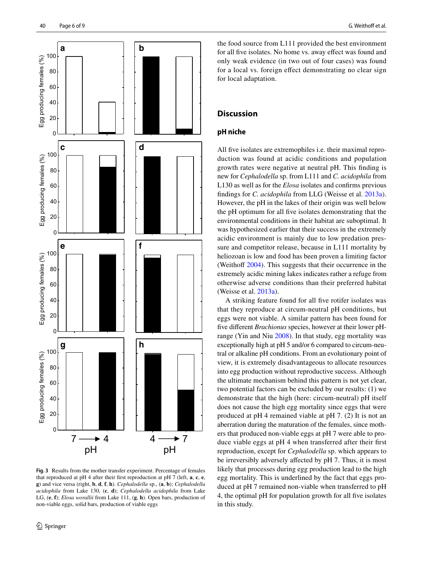

<span id="page-5-0"></span>**Fig. 3** Results from the mother transfer experiment. Percentage of females that reproduced at pH 4 after their frst reproduction at pH 7 (left, **a**, **c**, **e**, **g**) and vice versa (right, **b**, **d**, **f**, **h**). *Cephalodella* sp., (**a**, **b**); *Cephalodella acidophila* from Lake 130, (**c**, **d**); *Cephalodella acidophila* from Lake LG, (**e**, **f**); *Elosa worallii* from Lake 111, (**g**, **h**). Open bars, production of non-viable eggs, solid bars, production of viable eggs

the food source from L111 provided the best environment for all fve isolates. No home vs. away efect was found and only weak evidence (in two out of four cases) was found for a local vs. foreign efect demonstrating no clear sign for local adaptation.

# **Discussion**

## **pH niche**

All fve isolates are extremophiles i.e. their maximal reproduction was found at acidic conditions and population growth rates were negative at neutral pH. This fnding is new for *Cephalodella* sp. from L111 and *C. acidophila* from L130 as well as for the *Elosa* isolates and confrms previous fndings for *C. acidophila* from LLG (Weisse et al. [2013a](#page-8-23)). However, the pH in the lakes of their origin was well below the pH optimum for all fve isolates demonstrating that the environmental conditions in their habitat are suboptimal. It was hypothesized earlier that their success in the extremely acidic environment is mainly due to low predation pressure and competitor release, because in L111 mortality by heliozoan is low and food has been proven a limiting factor (Weithoff  $2004$ ). This suggests that their occurrence in the extremely acidic mining lakes indicates rather a refuge from otherwise adverse conditions than their preferred habitat (Weisse et al. [2013a](#page-8-23)).

A striking feature found for all fve rotifer isolates was that they reproduce at circum-neutral pH conditions, but eggs were not viable. A similar pattern has been found for five different *Brachionus* species, however at their lower pHrange (Yin and Niu [2008](#page-8-24)). In that study, egg mortality was exceptionally high at pH 5 and/or 6 compared to circum-neutral or alkaline pH conditions. From an evolutionary point of view, it is extremely disadvantageous to allocate resources into egg production without reproductive success. Although the ultimate mechanism behind this pattern is not yet clear, two potential factors can be excluded by our results: (1) we demonstrate that the high (here: circum-neutral) pH itself does not cause the high egg mortality since eggs that were produced at pH 4 remained viable at pH 7. (2) It is not an aberration during the maturation of the females, since mothers that produced non-viable eggs at pH 7 were able to produce viable eggs at pH 4 when transferred after their frst reproduction, except for *Cephalodella* sp. which appears to be irreversibly adversely afected by pH 7. Thus, it is most likely that processes during egg production lead to the high egg mortality. This is underlined by the fact that eggs produced at pH 7 remained non-viable when transferred to pH 4, the optimal pH for population growth for all fve isolates in this study.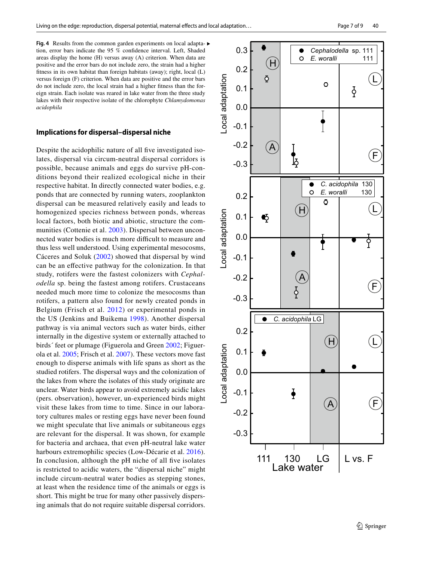<span id="page-6-0"></span>Fig. 4 Results from the common garden experiments on local adapta- ▶ tion, error bars indicate the 95 % confdence interval. Left, Shaded areas display the home (H) versus away (A) criterion. When data are positive and the error bars do not include zero, the strain had a higher ftness in its own habitat than foreign habitats (away); right, local (L) versus foreign (F) criterion. When data are positive and the error bars do not include zero, the local strain had a higher ftness than the foreign strain. Each isolate was reared in lake water from the three study lakes with their respective isolate of the chlorophyte *Chlamydomonas acidophila*

#### **Implications for dispersal–dispersal niche**

Despite the acidophilic nature of all fve investigated isolates, dispersal via circum-neutral dispersal corridors is possible, because animals and eggs do survive pH-conditions beyond their realized ecological niche in their respective habitat. In directly connected water bodies, e.g. ponds that are connected by running waters, zooplankton dispersal can be measured relatively easily and leads to homogenized species richness between ponds, whereas local factors, both biotic and abiotic, structure the communities (Cottenie et al. [2003\)](#page-7-14). Dispersal between unconnected water bodies is much more difficult to measure and thus less well understood. Using experimental mesocosms, Cáceres and Soluk [\(2002](#page-7-10)) showed that dispersal by wind can be an efective pathway for the colonization. In that study, rotifers were the fastest colonizers with *Cephalodella* sp. being the fastest among rotifers. Crustaceans needed much more time to colonize the mesocosms than rotifers, a pattern also found for newly created ponds in Belgium (Frisch et al. [2012](#page-7-15)) or experimental ponds in the US (Jenkins and Buikema [1998\)](#page-8-7). Another dispersal pathway is via animal vectors such as water birds, either internally in the digestive system or externally attached to birds´ feet or plumage (Figuerola and Green [2002;](#page-7-16) Figuerola et al. [2005](#page-7-11); Frisch et al. [2007\)](#page-7-17). These vectors move fast enough to disperse animals with life spans as short as the studied rotifers. The dispersal ways and the colonization of the lakes from where the isolates of this study originate are unclear. Water birds appear to avoid extremely acidic lakes (pers. observation), however, un-experienced birds might visit these lakes from time to time. Since in our laboratory cultures males or resting eggs have never been found we might speculate that live animals or subitaneous eggs are relevant for the dispersal. It was shown, for example for bacteria and archaea, that even pH-neutral lake water harbours extremophilic species (Low-Décarie et al. [2016](#page-8-25)). In conclusion, although the pH niche of all fve isolates is restricted to acidic waters, the "dispersal niche" might include circum-neutral water bodies as stepping stones, at least when the residence time of the animals or eggs is short. This might be true for many other passively dispersing animals that do not require suitable dispersal corridors.

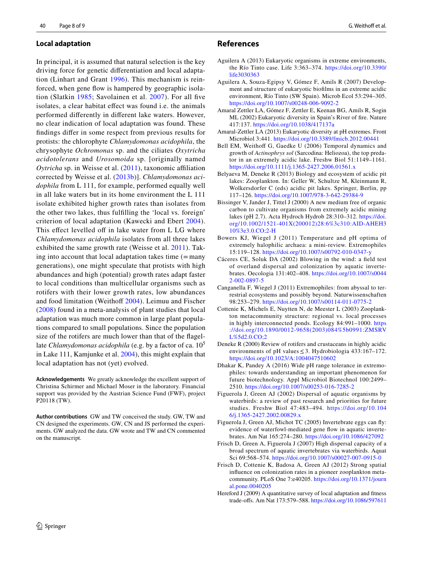#### **Local adaptation**

In principal, it is assumed that natural selection is the key driving force for genetic diferentiation and local adaptation (Linhart and Grant [1996](#page-8-26)). This mechanism is reinforced, when gene flow is hampered by geographic isolation (Slatkin [1985;](#page-8-27) Savolainen et al. [2007\)](#page-8-28). For all fve isolates, a clear habitat efect was found i.e. the animals performed diferently in diferent lake waters. However, no clear indication of local adaptation was found. These fndings difer in some respect from previous results for protists: the chlorophyte *Chlamydomonas acidophila*, the chrysophyte *Ochromonas* sp. and the ciliates *Oxytricha acidotolerans* and *Urosomoida* sp. [originally named *Oytricha* sp. in Weisse et al. ([2011](#page-8-22)), taxonomic affiliation corrected by Weisse et al. ([2013b\)](#page-8-5)]. *Chlamydomonas acidophila* from L 111, for example, performed equally well in all lake waters but in its home environment the L 111 isolate exhibited higher growth rates than isolates from the other two lakes, thus fulflling the 'local vs. foreign' criterion of local adaptation (Kawecki and Ebert [2004](#page-8-9)). This effect levelled off in lake water from L LG where *Chlamydomonas acidophila* isolates from all three lakes exhibited the same growth rate (Weisse et al. [2011\)](#page-8-22). Taking into account that local adaptation takes time  $(=\text{many})$ generations), one might speculate that protists with high abundances and high (potential) growth rates adapt faster to local conditions than multicellular organisms such as rotifers with their lower growth rates, low abundances and food limitation (Weithoff [2004](#page-8-17)). Leimuu and Fischer ([2008](#page-8-29)) found in a meta-analysis of plant studies that local adaptation was much more common in large plant populations compared to small populations. Since the population size of the rotifers are much lower than that of the fagellate *Chlamydomonas acidophila* (e.g. by a factor of ca. 10<sup>5</sup> in Lake 111, Kamjunke et al. [2004](#page-8-18)), this might explain that local adaptation has not (yet) evolved.

**Acknowledgements** We greatly acknowledge the excellent support of Christina Schirmer and Michael Moser in the laboratory. Financial support was provided by the Austrian Science Fund (FWF), project P20118 (TW).

**Author contributions** GW and TW conceived the study. GW, TW and CN designed the experiments. GW, CN and JS performed the experiments. GW analyzed the data. GW wrote and TW and CN commented on the manuscript.

 $\circled{2}$  Springer

#### **References**

- <span id="page-7-4"></span>Aguilera A (2013) Eukaryotic organisms in extreme environments, the Río Tinto case. Life 3:363–374. [https://doi.org/10.3390/](https://doi.org/10.3390/life3030363) [life3030363](https://doi.org/10.3390/life3030363)
- <span id="page-7-3"></span>Aguilera A, Souza-Egipsy V, Gómez F, Amils R (2007) Development and structure of eukaryotic bioflms in an extreme acidic environment, Río Tinto (SW Spain). Microb Ecol 53:294–305. <https://doi.org/10.1007/s00248-006-9092-2>
- <span id="page-7-1"></span>Amaral Zettler LA, Gómez F, Zettler E, Keenan BG, Amils R, Sogin ML (2002) Eukaryotic diversity in Spain's River of fre. Nature 417:137. <https://doi.org/10.1038/417137a>
- <span id="page-7-5"></span>Amaral-Zettler LA (2013) Eukaryotic diversity at pH extremes. Front Microbiol 3:441.<https://doi.org/10.3389/fmicb.2012.00441>
- <span id="page-7-2"></span>Bell EM, Weithoff G, Gaedke U (2006) Temporal dynamics and growth of *Actinophrys sol* (Sarcodina: Heliozoa), the top predator in an extremely acidic lake. Freshw Biol 51:1149–1161. <https://doi.org/10.1111/j.1365-2427.2006.01561.x>
- <span id="page-7-7"></span>Belyaeva M, Deneke R (2013) Biology and ecosystem of acidic pit lakes: Zooplankton. In: Geller W, Schultze M, Kleinmann R, Wolkersdorfer C (eds) acidic pit lakes. Springer, Berlin, pp 117–126.<https://doi.org/10.1007/978-3-642-29384-9>
- <span id="page-7-12"></span>Bissinger V, Jander J, Tittel J (2000) A new medium free of organic carbon to cultivate organisms from extremely acidic mining lakes (pH 2.7). Acta Hydroch Hydrob 28:310–312. [https://doi.](https://doi.org/10.1002/1521-401X(200012)28:6%3c310:AID-AHEH310%3e3.0.CO;2-H) [org/10.1002/1521-401X\(200012\)28:6%3c310:AID-AHEH3](https://doi.org/10.1002/1521-401X(200012)28:6%3c310:AID-AHEH310%3e3.0.CO;2-H) [10%3e3.0.CO;2-H](https://doi.org/10.1002/1521-401X(200012)28:6%3c310:AID-AHEH310%3e3.0.CO;2-H)
- <span id="page-7-0"></span>Bowers KJ, Wiegel J (2011) Temperature and pH optima of extremely halophilic archaea: a mini-review. Extremophiles 15:119–128. <https://doi.org/10.1007/s00792-010-0347-y>
- <span id="page-7-10"></span>Cáceres CE, Soluk DA (2002) Blowing in the wind: a feld test of overland dispersal and colonization by aquatic invertebrates. Oecologia 131:402–408. [https://doi.org/10.1007/s0044](https://doi.org/10.1007/s00442-002-0897-5) [2-002-0897-5](https://doi.org/10.1007/s00442-002-0897-5)
- <span id="page-7-8"></span>Canganella F, Wiegel J (2011) Extremophiles: from abyssal to terrestrial ecosystems and possibly beyond. Naturwissenschaften 98:253–279. <https://doi.org/10.1007/s00114-011-0775-2>
- <span id="page-7-14"></span>Cottenie K, Michels E, Nuytten N, de Meester L (2003) Zooplankton metacommunity structure: regional vs. local processes in highly interconnected ponds. Ecology 84:991–1000. [https](https://doi.org/10.1890/0012-9658(2003)084%5b0991:ZMSRVL%5d2.0.CO;2) [://doi.org/10.1890/0012-9658\(2003\)084%5b0991:ZMSRV](https://doi.org/10.1890/0012-9658(2003)084%5b0991:ZMSRVL%5d2.0.CO;2) [L%5d2.0.CO;2](https://doi.org/10.1890/0012-9658(2003)084%5b0991:ZMSRVL%5d2.0.CO;2)
- <span id="page-7-6"></span>Deneke R (2000) Review of rotifers and crustaceans in highly acidic environments of pH values  $\leq$  3. Hydrobiologia 433:167-172. <https://doi.org/10.1023/A:1004047510602>
- <span id="page-7-9"></span>Dhakar K, Pandey A (2016) Wide pH range tolerance in extremophiles: towards understanding an important phenomenon for future biotechnology. Appl Microbiol Biotechnol 100:2499– 2510.<https://doi.org/10.1007/s00253-016-7285-2>
- <span id="page-7-16"></span>Figuerola J, Green AJ (2002) Dispersal of aquatic organisms by waterbirds: a review of past research and priorities for future studies. Freshw Biol 47:483–494. [https://doi.org/10.104](https://doi.org/10.1046/j.1365-2427.2002.00829.x) [6/j.1365-2427.2002.00829.x](https://doi.org/10.1046/j.1365-2427.2002.00829.x)
- <span id="page-7-11"></span>Figuerola J, Green AJ, Michot TC (2005) Invertebrate eggs can fy: evidence of waterfowl-mediated gene fow in aquatic invertebrates. Am Nat 165:274–280. <https://doi.org/10.1086/427092>
- <span id="page-7-17"></span>Frisch D, Green A, Figuerola J (2007) High dispersal capacity of a broad spectrum of aquatic invertebrates via waterbirds. Aquat Sci 69:568–574.<https://doi.org/10.1007/s00027-007-0915-0>
- <span id="page-7-15"></span>Frisch D, Cottenie K, Badosa A, Green AJ (2012) Strong spatial infuence on colonization rates in a pioneer zooplankton metacommunity. PLoS One 7:e40205. [https://doi.org/10.1371/journ](https://doi.org/10.1371/journal.pone.0040205) [al.pone.0040205](https://doi.org/10.1371/journal.pone.0040205)
- <span id="page-7-13"></span>Hereford J (2009) A quantitative survey of local adaptation and ftness trade-ofs. Am Nat 173:579–588.<https://doi.org/10.1086/597611>